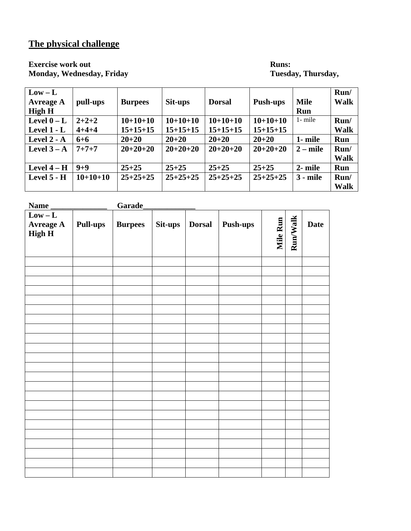# **The physical challenge**

**Monday, Wednesday, Friday** 

# **Exercise work out Runs: Runs: Runs: Monday, Wednesday, Friday Runs: Runs: Runs: Runs: Runs: Runs: Runs: Runs: Runs: Runs: Runs: Runs: Runs: Runs: Runs: Runs: Runs: Runs: Runs:**

| $Low - L$<br><b>Avreage A</b><br><b>High H</b> | pull-ups    | <b>Burpees</b> | Sit-ups    | <b>Dorsal</b> | <b>Push-ups</b> | <b>Mile</b><br><b>Run</b> | Run/<br><b>Walk</b> |
|------------------------------------------------|-------------|----------------|------------|---------------|-----------------|---------------------------|---------------------|
| Level $0 - L$                                  | $2 + 2 + 2$ | $10+10+10$     | $10+10+10$ | $10+10+10$    | $10+10+10$      | $1 -$ mile                | Run/                |
| Level $1 - L$                                  | $4 + 4 + 4$ | $15+15+15$     | $15+15+15$ | $15+15+15$    | $15+15+15$      |                           | <b>Walk</b>         |
| Level $2 - A$                                  | $6 + 6$     | $20 + 20$      | $20 + 20$  | $20 + 20$     | $20 + 20$       | 1- mile                   | Run                 |
| Level $3 - A$                                  | $7 + 7 + 7$ | $20+20+20$     | $20+20+20$ | $20+20+20$    | $20+20+20$      | $2 - mile$                | Run/                |
|                                                |             |                |            |               |                 |                           | <b>Walk</b>         |
| Level $4-H$                                    | $9 + 9$     | $25 + 25$      | $25 + 25$  | $25 + 25$     | $25 + 25$       | 2- mile                   | <b>Run</b>          |
| Level 5 - H                                    | $10+10+10$  | $25+25+25$     | $25+25+25$ | $25+25+25$    | $25+25+25$      | $3 - mile$                | Run/                |
|                                                |             |                |            |               |                 |                           | <b>Walk</b>         |

| <b>Name</b>                                    |                 | Garade         |         |               |          |                 |          |             |
|------------------------------------------------|-----------------|----------------|---------|---------------|----------|-----------------|----------|-------------|
| $Low - L$<br><b>Avreage A</b><br><b>High H</b> | <b>Pull-ups</b> | <b>Burpees</b> | Sit-ups | <b>Dorsal</b> | Push-ups | <b>Mile Run</b> | Run/Walk | <b>Date</b> |
|                                                |                 |                |         |               |          |                 |          |             |
|                                                |                 |                |         |               |          |                 |          |             |
|                                                |                 |                |         |               |          |                 |          |             |
|                                                |                 |                |         |               |          |                 |          |             |
|                                                |                 |                |         |               |          |                 |          |             |
|                                                |                 |                |         |               |          |                 |          |             |
|                                                |                 |                |         |               |          |                 |          |             |
|                                                |                 |                |         |               |          |                 |          |             |
|                                                |                 |                |         |               |          |                 |          |             |
|                                                |                 |                |         |               |          |                 |          |             |
|                                                |                 |                |         |               |          |                 |          |             |
|                                                |                 |                |         |               |          |                 |          |             |
|                                                |                 |                |         |               |          |                 |          |             |
|                                                |                 |                |         |               |          |                 |          |             |
|                                                |                 |                |         |               |          |                 |          |             |
|                                                |                 |                |         |               |          |                 |          |             |
|                                                |                 |                |         |               |          |                 |          |             |
|                                                |                 |                |         |               |          |                 |          |             |
|                                                |                 |                |         |               |          |                 |          |             |
|                                                |                 |                |         |               |          |                 |          |             |
|                                                |                 |                |         |               |          |                 |          |             |
|                                                |                 |                |         |               |          |                 |          |             |
|                                                |                 |                |         |               |          |                 |          |             |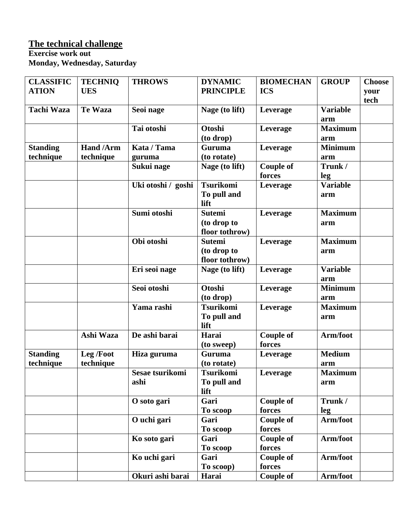## **The technical challenge**

#### **Exercise work out Monday, Wednesday, Saturday**

| <b>CLASSIFIC</b><br><b>ATION</b> | <b>TECHNIO</b><br><b>UES</b> | <b>THROWS</b>      | <b>DYNAMIC</b><br><b>PRINCIPLE</b> | <b>BIOMECHAN</b><br><b>ICS</b> | <b>GROUP</b>           | <b>Choose</b><br>your |
|----------------------------------|------------------------------|--------------------|------------------------------------|--------------------------------|------------------------|-----------------------|
|                                  |                              |                    |                                    |                                |                        | tech                  |
| <b>Tachi Waza</b>                | <b>Te Waza</b>               | Seoi nage          | Nage (to lift)                     | Leverage                       | <b>Variable</b><br>arm |                       |
|                                  |                              | Tai otoshi         | Otoshi                             | Leverage                       | <b>Maximum</b>         |                       |
|                                  |                              |                    | (to drop)                          |                                | arm                    |                       |
| <b>Standing</b>                  | Hand /Arm                    | Kata / Tama        | Guruma                             | Leverage                       | <b>Minimum</b>         |                       |
| technique                        | technique                    | guruma             | (to rotate)                        |                                | arm                    |                       |
|                                  |                              | Sukui nage         | Nage (to lift)                     | <b>Couple of</b>               | Trunk /                |                       |
|                                  |                              |                    |                                    | forces                         | leg                    |                       |
|                                  |                              | Uki otoshi / goshi | <b>Tsurikomi</b>                   | Leverage                       | <b>Variable</b>        |                       |
|                                  |                              |                    | To pull and<br>lift                |                                | arm                    |                       |
|                                  |                              | Sumi otoshi        | <b>Sutemi</b>                      | Leverage                       | <b>Maximum</b>         |                       |
|                                  |                              |                    | (to drop to                        |                                | arm                    |                       |
|                                  |                              |                    | floor tothrow)                     |                                |                        |                       |
|                                  |                              | Obi otoshi         | <b>Sutemi</b>                      | Leverage                       | <b>Maximum</b>         |                       |
|                                  |                              |                    | (to drop to                        |                                | arm                    |                       |
|                                  |                              |                    | floor tothrow)                     |                                |                        |                       |
|                                  |                              | Eri seoi nage      | Nage (to lift)                     | Leverage                       | <b>Variable</b>        |                       |
|                                  |                              |                    |                                    |                                | arm                    |                       |
|                                  |                              | Seoi otoshi        | <b>Otoshi</b>                      | Leverage                       | <b>Minimum</b>         |                       |
|                                  |                              |                    | (to drop)                          |                                | arm                    |                       |
|                                  |                              | Yama rashi         | <b>Tsurikomi</b>                   | Leverage                       | <b>Maximum</b>         |                       |
|                                  |                              |                    | To pull and                        |                                | arm                    |                       |
|                                  |                              |                    | lift                               |                                |                        |                       |
|                                  | Ashi Waza                    | De ashi barai      | Harai                              | <b>Couple of</b>               | Arm/foot               |                       |
|                                  |                              |                    | (to sweep)                         | forces                         |                        |                       |
| <b>Standing</b>                  | Leg /Foot                    | Hiza guruma        | Guruma                             | Leverage                       | <b>Medium</b>          |                       |
| technique                        | technique                    |                    | (to rotate)                        |                                | arm                    |                       |
|                                  |                              | Sesae tsurikomi    | <b>Tsurikomi</b>                   | Leverage                       | <b>Maximum</b>         |                       |
|                                  |                              | ashi               | To pull and                        |                                | arm                    |                       |
|                                  |                              |                    | lift                               |                                |                        |                       |
|                                  |                              | O soto gari        | Gari                               | <b>Couple of</b>               | Trunk /                |                       |
|                                  |                              |                    | To scoop                           | forces                         | leg                    |                       |
|                                  |                              | O uchi gari        | Gari                               | <b>Couple of</b>               | Arm/foot               |                       |
|                                  |                              |                    | To scoop                           | forces                         |                        |                       |
|                                  |                              | Ko soto gari       | Gari                               | <b>Couple of</b>               | Arm/foot               |                       |
|                                  |                              |                    | To scoop                           | forces                         |                        |                       |
|                                  |                              | Ko uchi gari       | Gari                               | <b>Couple of</b>               | Arm/foot               |                       |
|                                  |                              |                    | To scoop)                          | forces                         |                        |                       |
|                                  |                              | Okuri ashi barai   | Harai                              | <b>Couple of</b>               | Arm/foot               |                       |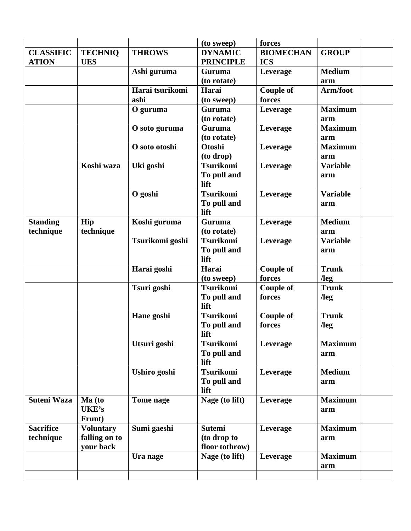|                              |                  |                 | (to sweep)            | forces           |                        |  |
|------------------------------|------------------|-----------------|-----------------------|------------------|------------------------|--|
| <b>CLASSIFIC</b>             | <b>TECHNIQ</b>   | <b>THROWS</b>   | <b>DYNAMIC</b>        | <b>BIOMECHAN</b> | <b>GROUP</b>           |  |
| <b>ATION</b>                 | <b>UES</b>       |                 | <b>PRINCIPLE</b>      | <b>ICS</b>       |                        |  |
|                              |                  | Ashi guruma     | <b>Guruma</b>         | Leverage         | <b>Medium</b>          |  |
|                              |                  |                 | (to rotate)           |                  | arm                    |  |
|                              |                  | Harai tsurikomi | Harai                 | <b>Couple of</b> | Arm/foot               |  |
|                              |                  | ashi            | (to sweep)            | forces           |                        |  |
|                              |                  | O guruma        | <b>Guruma</b>         | Leverage         | <b>Maximum</b>         |  |
|                              |                  |                 | (to rotate)           |                  | arm                    |  |
|                              |                  | O soto guruma   | <b>Guruma</b>         | Leverage         | <b>Maximum</b>         |  |
|                              |                  |                 | (to rotate)           |                  | arm                    |  |
|                              |                  | O soto otoshi   | <b>Otoshi</b>         | Leverage         | <b>Maximum</b>         |  |
|                              |                  |                 | (to drop)             |                  | arm                    |  |
|                              | Koshi waza       | Uki goshi       | <b>Tsurikomi</b>      | Leverage         | <b>Variable</b>        |  |
|                              |                  |                 | To pull and           |                  | arm                    |  |
|                              |                  |                 | lift                  |                  |                        |  |
|                              |                  | O goshi         | <b>Tsurikomi</b>      | Leverage         | <b>Variable</b>        |  |
|                              |                  |                 | To pull and           |                  | arm                    |  |
|                              |                  |                 | lift<br><b>Guruma</b> |                  | <b>Medium</b>          |  |
| <b>Standing</b><br>technique | Hip<br>technique | Koshi guruma    | (to rotate)           | Leverage         |                        |  |
|                              |                  | Tsurikomi goshi | <b>Tsurikomi</b>      |                  | arm<br><b>Variable</b> |  |
|                              |                  |                 | To pull and           | Leverage         |                        |  |
|                              |                  |                 | lift                  |                  | arm                    |  |
|                              |                  | Harai goshi     | Harai                 | <b>Couple of</b> | <b>Trunk</b>           |  |
|                              |                  |                 | (to sweep)            | forces           | $\log$                 |  |
|                              |                  | Tsuri goshi     | <b>Tsurikomi</b>      | Couple of        | <b>Trunk</b>           |  |
|                              |                  |                 | To pull and           | forces           | $\log$                 |  |
|                              |                  |                 | lift                  |                  |                        |  |
|                              |                  | Hane goshi      | <b>Tsurikomi</b>      | <b>Couple of</b> | <b>Trunk</b>           |  |
|                              |                  |                 | To pull and           | forces           | $\log$                 |  |
|                              |                  |                 | lift                  |                  |                        |  |
|                              |                  | Utsuri goshi    | <b>Tsurikomi</b>      | Leverage         | <b>Maximum</b>         |  |
|                              |                  |                 | To pull and           |                  | arm                    |  |
|                              |                  |                 | lift                  |                  |                        |  |
|                              |                  | Ushiro goshi    | <b>Tsurikomi</b>      | Leverage         | <b>Medium</b>          |  |
|                              |                  |                 | To pull and           |                  | arm                    |  |
|                              |                  |                 | lift                  |                  |                        |  |
| <b>Suteni Waza</b>           | Ma (to           | Tome nage       | Nage (to lift)        | Leverage         | <b>Maximum</b>         |  |
|                              | UKE's            |                 |                       |                  | arm                    |  |
|                              | Frunt)           |                 |                       |                  |                        |  |
| <b>Sacrifice</b>             | <b>Voluntary</b> | Sumi gaeshi     | <b>Sutemi</b>         | Leverage         | <b>Maximum</b>         |  |
| technique                    | falling on to    |                 | (to drop to           |                  | arm                    |  |
|                              | your back        |                 | floor tothrow)        |                  |                        |  |
|                              |                  | Ura nage        | Nage (to lift)        | Leverage         | <b>Maximum</b>         |  |
|                              |                  |                 |                       |                  | arm                    |  |
|                              |                  |                 |                       |                  |                        |  |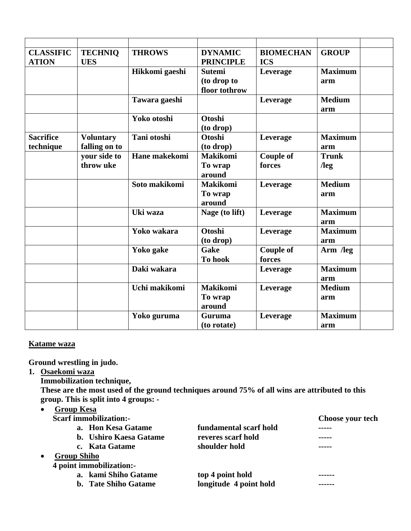| <b>CLASSIFIC</b><br><b>ATION</b> | <b>TECHNIO</b><br><b>UES</b>      | <b>THROWS</b>  | <b>DYNAMIC</b><br><b>PRINCIPLE</b>            | <b>BIOMECHAN</b><br><b>ICS</b> | <b>GROUP</b>           |  |
|----------------------------------|-----------------------------------|----------------|-----------------------------------------------|--------------------------------|------------------------|--|
|                                  |                                   | Hikkomi gaeshi | <b>Sutemi</b><br>(to drop to<br>floor tothrow | Leverage                       | <b>Maximum</b><br>arm  |  |
|                                  |                                   | Tawara gaeshi  |                                               | Leverage                       | <b>Medium</b><br>arm   |  |
|                                  |                                   | Yoko otoshi    | Otoshi<br>(to drop)                           |                                |                        |  |
| <b>Sacrifice</b><br>technique    | <b>Voluntary</b><br>falling on to | Tani otoshi    | Otoshi<br>(to drop)                           | Leverage                       | <b>Maximum</b><br>arm  |  |
|                                  | your side to<br>throw uke         | Hane makekomi  | <b>Makikomi</b><br>To wrap<br>around          | <b>Couple of</b><br>forces     | <b>Trunk</b><br>$\log$ |  |
|                                  |                                   | Soto makikomi  | <b>Makikomi</b><br>To wrap<br>around          | Leverage                       | <b>Medium</b><br>arm   |  |
|                                  |                                   | Uki waza       | Nage (to lift)                                | Leverage                       | <b>Maximum</b><br>arm  |  |
|                                  |                                   | Yoko wakara    | <b>Otoshi</b><br>(to drop)                    | Leverage                       | <b>Maximum</b><br>arm  |  |
|                                  |                                   | Yoko gake      | Gake<br>To hook                               | <b>Couple of</b><br>forces     | Arm /leg               |  |
|                                  |                                   | Daki wakara    |                                               | Leverage                       | <b>Maximum</b><br>arm  |  |
|                                  |                                   | Uchi makikomi  | <b>Makikomi</b><br>To wrap<br>around          | Leverage                       | <b>Medium</b><br>arm   |  |
|                                  |                                   | Yoko guruma    | Guruma<br>(to rotate)                         | Leverage                       | <b>Maximum</b><br>arm  |  |

### **Katame waza**

**Ground wrestling in judo.** 

- **1. Osaekomi waza** 
	- **Immobilization technique,**

**These are the most used of the ground techniques around 75% of all wins are attributed to this group. This is split into 4 groups: -** 

| <b>Group Kesa</b>             |                        |                  |
|-------------------------------|------------------------|------------------|
| <b>Scarf immobilization:-</b> |                        | Choose your tech |
| a. Hon Kesa Gatame            | fundamental scarf hold |                  |
| b. Ushiro Kaesa Gatame        | reveres scarf hold     | -----            |
| c. Kata Gatame                | shoulder hold          |                  |
| <b>Group Shiho</b>            |                        |                  |
| 4 point immobilization:-      |                        |                  |
| a. kami Shiho Gatame          | top 4 point hold       |                  |
| <b>b.</b> Tate Shiho Gatame   | longitude 4 point hold |                  |
|                               |                        |                  |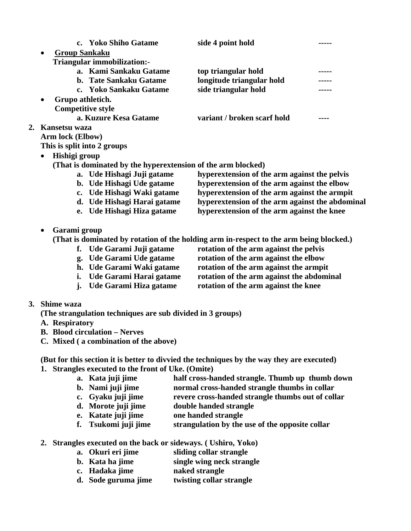|           |                          | c. Yoko Shiho Gatame                                         | side 4 point hold                                                                       |  |
|-----------|--------------------------|--------------------------------------------------------------|-----------------------------------------------------------------------------------------|--|
| $\bullet$ | <b>Group Sankaku</b>     | Triangular immobilization:-                                  |                                                                                         |  |
|           |                          | a. Kami Sankaku Gatame                                       | top triangular hold                                                                     |  |
|           |                          | b. Tate Sankaku Gatame                                       | longitude triangular hold                                                               |  |
|           |                          | c. Yoko Sankaku Gatame                                       | side triangular hold                                                                    |  |
| $\bullet$ | Grupo athletich.         |                                                              |                                                                                         |  |
|           | <b>Competitive style</b> |                                                              |                                                                                         |  |
|           |                          | a. Kuzure Kesa Gatame                                        | variant / broken scarf hold                                                             |  |
|           | 2. Kansetsu waza         |                                                              |                                                                                         |  |
|           | Arm lock (Elbow)         |                                                              |                                                                                         |  |
|           |                          | This is split into 2 groups                                  |                                                                                         |  |
| $\bullet$ | Hishigi group            |                                                              |                                                                                         |  |
|           |                          | (That is dominated by the hyperextension of the arm blocked) |                                                                                         |  |
|           |                          | a. Ude Hishagi Juji gatame                                   | hyperextension of the arm against the pelvis                                            |  |
|           |                          | b. Ude Hishagi Ude gatame                                    | hyperextension of the arm against the elbow                                             |  |
|           |                          | c. Ude Hishagi Waki gatame                                   | hyperextension of the arm against the armpit                                            |  |
|           |                          | d. Ude Hishagi Harai gatame                                  | hyperextension of the arm against the abdominal                                         |  |
|           |                          | e. Ude Hishagi Hiza gatame                                   | hyperextension of the arm against the knee                                              |  |
| ٠         | Garami group             |                                                              |                                                                                         |  |
|           |                          |                                                              | (That is dominated by rotation of the holding arm in-respect to the arm being blocked.) |  |
|           |                          | f. Ude Garami Juji gatame                                    | rotation of the arm against the pelvis                                                  |  |
|           |                          | g. Ude Garami Ude gatame                                     | rotation of the arm against the elbow                                                   |  |
|           |                          | h. Ude Garami Waki gatame                                    | rotation of the arm against the armpit                                                  |  |
|           |                          | i. Ude Garami Harai gatame                                   | rotation of the arm against the abdominal                                               |  |
|           | $\mathbf{i}$ .           | Ude Garami Hiza gatame                                       | rotation of the arm against the knee                                                    |  |
|           | 3. Shime waza            |                                                              |                                                                                         |  |
|           |                          | (The strangulation techniques are sub divided in 3 groups)   |                                                                                         |  |
|           | A. Respiratory           |                                                              |                                                                                         |  |
|           |                          | <b>B.</b> Blood circulation - Nerves                         |                                                                                         |  |
|           |                          | C. Mixed (a combination of the above)                        |                                                                                         |  |

**(But for this section it is better to divvied the techniques by the way they are executed)** 

- **1. Strangles executed to the front of Uke. (Omite)** 
	- **a. Kata juji jime half cross-handed strangle. Thumb up thumb down**
	- **b. Nami juji jime normal cross-handed strangle thumbs in collar**
	- **c. Gyaku juji jime revere cross-handed strangle thumbs out of collar**
	- **d. Morote juji jime double handed strangle**
	- **e. Katate juji jime one handed strangle**
	- **f. Tsukomi juji jime strangulation by the use of the opposite collar**
- **2. Strangles executed on the back or sideways. ( Ushiro, Yoko)** 
	- **a. Okuri eri jime sliding collar strangle**
	- **b. Kata ha jime** single wing neck strangle
	- **c. Hadaka jime naked strangle**
	- **d. Sode guruma jime twisting collar strangle**